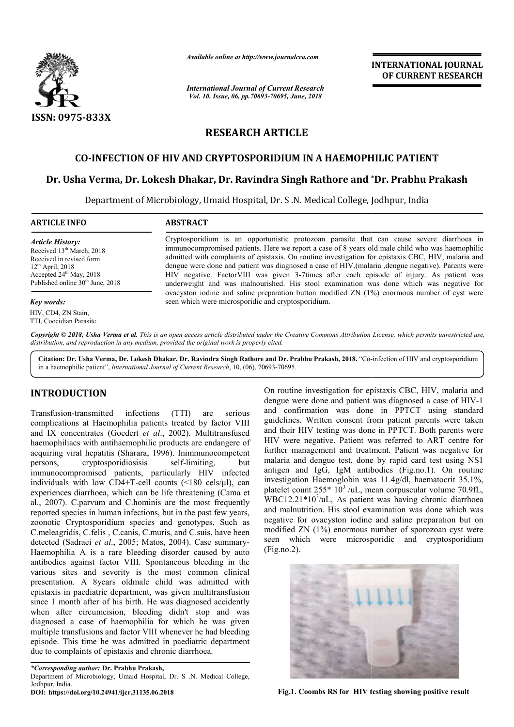

*Available online at http://www.journalcra.com*

*International Journal of Current Research Vol. 10, Issue, 06, pp.70693-70695, June, 2018*

**INTERNATIONAL JOURNAL OF CURRENT RESEARCH**

## **RESEARCH ARTICLE**

## **CO-INFECTION OF HIV AND CRYPTOSPORIDIUM IN A HAEMOPHILIC PATIENT**

# CO-INFECTION OF HIV AND CRYPTOSPORIDIUM IN A HAEMOPHILIC PATIENT<br>Dr. Usha Verma, Dr. Lokesh Dhakar, Dr. Ravindra Singh Rathore and \*Dr. Prabhu Prakash

Department of Microbiology, Umaid Hospital, Dr. S.N. Medical College, Jodhpur, India

## **ARTICLE INFO ABSTRACT**

*Article History:* Received 13<sup>th</sup> March, 2018 Received in revised form 12th April, 2018 Accepted 24<sup>th</sup> May, 2018 Published online 30<sup>th</sup> June, 2018

#### *Key words:*

HIV, CD4, ZN Stain, TTI, Coocidian Parasite. Cryptosporidium is an opportunistic protozoan parasite that can cause severe diarrhoea in Cryptosporidium is an opportunistic protozoan parasite that can cause severe diarrhoea in immunocompromised patients. Here we report a case of 8 years old male child who was haemophilic admitted with complaints of epistaxis. On routine investigation for epistaxis CBC, HIV, malaria and admitted with complaints of epistaxis. On routine investigation for epistaxis CBC, HIV, malaria and dengue were done and patient was diagnosed a case of HIV, (malaria ,dengue negative). Parents were HIV negative. FactorVIII was given 3-7times after each episode of injury. As patient was underweight and was malnourished. His stool examination was done which was negative for ovacyston iodine and saline preparation button modified  $ZN(1%)$  enormous number of cyst were seen which were microsporidic and cryptosporidium.

Copyright © 2018, Usha Verma et al. This is an open access article distributed under the Creative Commons Attribution License, which permits unrestricted use, *distribution, and reproduction in any medium, provided the original work is properly cited.*

Citation: Dr. Usha Verma, Dr. Lokesh Dhakar, Dr. Ravindra Singh Rathore and Dr. Prabhu Prakash, 2018. "Co-infection of HIV and cryptosporidium in a haemophilic patient", *International Journal of Current Research* , 10, (06), 70693-70695.

## **INTRODUCTION**

Transfusion-transmitted infections (TTI) are serious complications at Haemophilia patients treated by factor VIII and IX concentrates (Goedert et al., 2002). Multitransfused haemophiliacs with antihaemophilic products are endangere of acquiring viral hepatitis (Sharara, 1996). Inimmunocompetent persons, cryptosporidiosisis self-limiting, but persons, cryptosporidiosisis self-limiting, immunocompromised patients, particularly HIV infected individuals with low CD4+T-cell counts (<180 cels/μl), can experiences diarrhoea, which can be life threatening (Cama et al., 2007). C.parvum and C.hominis are the most frequently reported species in human infections, but in the past few years, zoonotic Cryptosporidium species and genotypes, Such as C.meleagridis, C.felis , C.canis, C.muris, and C.suis, have been detected (Sadraei et al., 2005; Matos, 2004). Case summary-Haemophilia A is a rare bleeding disorder caused by auto antibodies against factor VIII. Spontaneous bleeding in the various sites and severity is the most common clinical presentation. A 8years oldmale child was admitted with epistaxis in paediatric department, was given multitransfusion since 1 month after of his birth. He was diagnosed accidently when after circumcision, bleeding didn't stop and was diagnosed a case of haemophilia for which he was given multiple transfusions and factor VIII whenever he had bleeding episode. This time he was admitted in paediatric department due to complaints of epistaxis and chronic diarrhoea. ediatric department, was given multitransfusion<br>after of his birth. He was diagnosed accidently<br>ircumcision, bleeding didn't stop and was

*\*Corresponding author:* **Dr. Prabhu Prakash,** Department of Microbiology, Umaid Hospital, Dr. S .N. Medical College, Jodhpur, India. **DOI: https://doi.org/10.24941/ijcr.31135.06.2018**

On routine investigation for epistaxis CBC, HIV, malaria and On routine investigation for epistaxis CBC, HIV, malaria and dengue were done and patient was diagnosed a case of HIV-1 and confirmation was done in PPTCT using standard guidelines. Written consent from patient parents were taken and their HIV testing was done in PPTCT. Both parents were HIV were negative. Patient was referred to ART centre for further management and treatment. Patient was negative for malaria and dengue test, done by rapid card test using NS1 antigen and IgG, IgM antibodies (Fig.no.1). On routine investigation Haemoglobin was 11.4g/dl, haematocrit 35.1%, platelet count  $255*10^3$  /uL, mean corpuscular volume 70.9fL, WBC12.21\*10<sup>3</sup> /uL, As patient was having chronic diarrhoea and malnutrition. His stool examination was done which was negative for ovacyston iodine and saline preparation but on modified ZN (1%) enormous number of sporozoan cyst were seen which were microsporidic and cryptosporidium (Fig.no.2). lines. Written consent from patient parents were taken<br>heir HIV testing was done in PPTCT. Both parents were<br>were negative. Patient was referred to ART centre for<br>pr management and treatment. Patient was negative for aemoglobin was 11.4g/dl, haematocrit 35.1%, 55\* 10<sup>3</sup>/uL, mean corpuscular volume 70.9fL,  $/$ uL, As patient was having chronic diarrhoean. His stool examination was done which was accyston iodine and saline preparation bu



Fig.1. Coombs RS for HIV testing showing positive result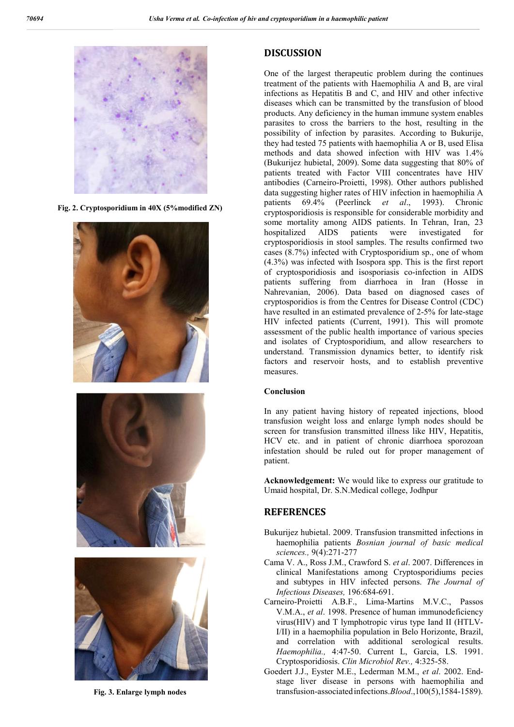

**Fig. 2. Cryptosporidium in 40X (5%modified ZN)**







**Fig. 3. Enlarge lymph nodes**

## **DISCUSSION**

One of the largest therapeutic problem during the continues treatment of the patients with Haemophilia A and B, are viral infections as Hepatitis B and C, and HIV and other infective diseases which can be transmitted by the transfusion of blood products. Any deficiency in the human immune system enables parasites to cross the barriers to the host, resulting in the possibility of infection by parasites. According to Bukurije, they had tested 75 patients with haemophilia A or B, used Elisa methods and data showed infection with HIV was 1.4% (Bukurijez hubietal, 2009). Some data suggesting that 80% of patients treated with Factor VIII concentrates have HIV antibodies (Carneiro-Proietti, 1998). Other authors published data suggesting higher rates of HIV infection in haemophilia A patients 69.4% (Peerlinck *et al*., 1993). Chronic cryptosporidiosis is responsible for considerable morbidity and some mortality among AIDS patients. In Tehran, Iran, 23 hospitalized AIDS patients were investigated for cryptosporidiosis in stool samples. The results confirmed two cases (8.7%) infected with Cryptosporidium sp., one of whom (4.3%) was infected with Isospora spp. This is the first report of cryptosporidiosis and isosporiasis co-infection in AIDS patients suffering from diarrhoea in Iran (Hosse in Nahrevanian, 2006). Data based on diagnosed cases of cryptosporidios is from the Centres for Disease Control (CDC) have resulted in an estimated prevalence of 2-5% for late-stage HIV infected patients (Current, 1991). This will promote assessment of the public health importance of various species and isolates of Cryptosporidium, and allow researchers to understand. Transmission dynamics better, to identify risk factors and reservoir hosts, and to establish preventive measures.

#### **Conclusion**

In any patient having history of repeated injections, blood transfusion weight loss and enlarge lymph nodes should be screen for transfusion transmitted illness like HIV, Hepatitis, HCV etc. and in patient of chronic diarrhoea sporozoan infestation should be ruled out for proper management of patient.

**Acknowledgement:** We would like to express our gratitude to Umaid hospital, Dr. S.N.Medical college, Jodhpur

## **REFERENCES**

- Bukurijez hubietal. 2009. Transfusion transmitted infections in haemophilia patients *Bosnian journal of basic medical sciences.,* 9(4):271-277
- Cama V. A., Ross J.M., Crawford S. *et al*. 2007. Differences in clinical Manifestations among Cryptosporidiums pecies and subtypes in HIV infected persons. *The Journal of Infectious Diseases,* 196:684-691.
- Carneiro-Proietti A.B.F., Lima-Martins M.V.C., Passos V.M.A., *et al*. 1998. Presence of human immunodeficiency virus(HIV) and T lymphotropic virus type Iand II (HTLV-I/II) in a haemophilia population in Belo Horizonte, Brazil, and correlation with additional serological results. *Haemophilia.,* 4:47-50. Current L, Garcia, LS. 1991. Cryptosporidiosis. *Clin Microbiol Rev.,* 4:325-58.
- Goedert J.J., Eyster M.E., Lederman M.M., *et al*. 2002. Endstage liver disease in persons with haemophilia and transfusion-associatedinfections.*Blood*.,100(5),1584-1589).